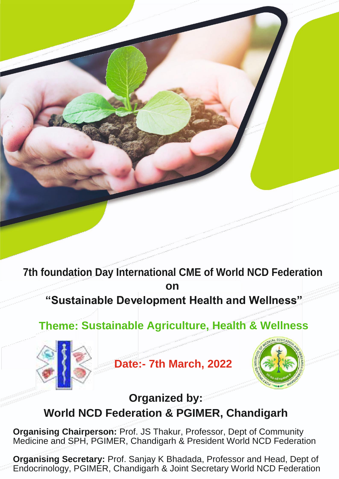**7th foundation Day International CME of World NCD Federation on**

**"Sustainable Development Health and Wellness"**

# **Theme: Sustainable Agriculture, Health & Wellness**



**Date:- 7th March, 2022**



## **Organized by:**

# **World NCD Federation & PGIMER, Chandigarh**

**Organising Chairperson:** Prof. JS Thakur, Professor, Dept of Community Medicine and SPH, PGIMER, Chandigarh & President World NCD Federation

**Organising Secretary:** Prof. Sanjay K Bhadada, Professor and Head, Dept of Endocrinology, PGIMER, Chandigarh & Joint Secretary World NCD Federation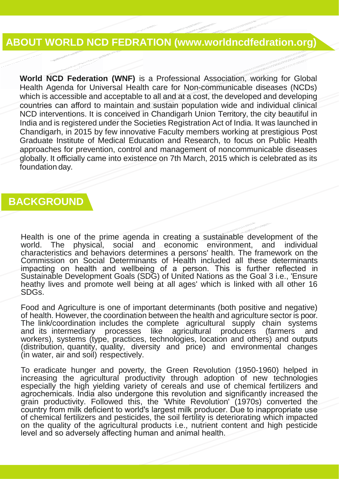## **ABOUT WORLD NCD FEDRATION (www.worldncdfedration.org)**

**World NCD Federation (WNF)** is a Professional Association, working for Global Health Agenda for Universal Health care for Non-communicable diseases (NCDs) which is accessible and acceptable to all and at a cost, the developed and developing countries can afford to maintain and sustain population wide and individual clinical NCD interventions. It is conceived in Chandigarh Union Territory, the city beautiful in India and is registered under the Societies Registration Act of India. It was launched in Chandigarh, in 2015 by few innovative Faculty members working at prestigious Post Graduate Institute of Medical Education and Research, to focus on Public Health approaches for prevention, control and management of noncommunicable diseases globally. It officially came into existence on 7th March, 2015 which is celebrated as its foundation day.

# **BACKGROUND**

Health is one of the prime agenda in creating a sustainable development of the world. The physical, social and economic environment, and individual characteristics and behaviors determines a persons' health. The framework on the Commission on Social Determinants of Health included all these determinants impacting on health and wellbeing of a person. This is further reflected in Sustainable Development Goals (SDG) of United Nations as the Goal 3 i.e., 'Ensure heathy lives and promote well being at all ages' which is linked with all other 16 SDGs.

Food and Agriculture is one of important determinants (both positive and negative) of health. However, the coordination between the health and agriculture sector is poor. The link/coordination includes the complete agricultural supply chain systems and its intermediary processes like agricultural producers (farmers and and its intermediary processes like agricultural producers (farmers and workers), systems (type, practices, technologies, location and others) and outputs (distribution, quantity, quality, diversity and price) and environmental changes (in water, air and soil) respectively.

To eradicate hunger and poverty, the Green Revolution (1950-1960) helped in increasing the agricultural productivity through adoption of new technologies especially the high yielding variety of cereals and use of chemical fertilizers and agrochemicals. India also undergone this revolution and significantly increased the grain productivity. Followed this, the 'White Revolution' (1970s) converted the country from milk deficient to world's largest milk producer. Due to inappropriate use of chemical fertilizers and pesticides, the soil fertility is deteriorating which impacted on the quality of the agricultural products i.e., nutrient content and high pesticide level and so adversely affecting human and animal health.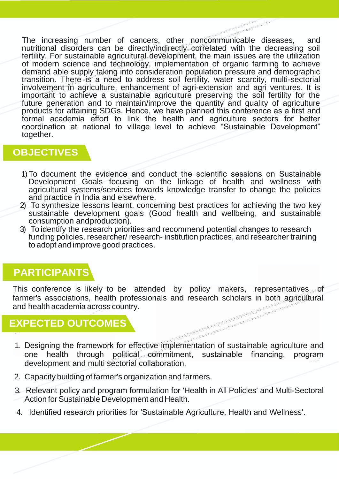The increasing number of cancers, other noncommunicable diseases, and nutritional disorders can be directly/indirectly correlated with the decreasing soil fertility. For sustainable agricultural development, the main issues are the utilization of modern science and technology, implementation of organic farming to achieve demand able supply taking into consideration population pressure and demographic transition. There is a need to address soil fertility, water scarcity, multi-sectorial involvement in agriculture, enhancement of agri-extension and agri ventures. It is important to achieve a sustainable agriculture preserving the soil fertility for the future generation and to maintain/improve the quantity and quality of agriculture products for attaining SDGs. Hence, we have planned this conference as a first and formal academia effort to link the health and agriculture sectors for better coordination at national to village level to achieve "Sustainable Development" together.

### **OBJECTIVES**

- 1)To document the evidence and conduct the scientific sessions on Sustainable Development Goals focusing on the linkage of health and wellness with agricultural systems/services towards knowledge transfer to change the policies and practice in India and elsewhere.
- 2) To synthesize lessons learnt, concerning best practices for achieving the two key sustainable development goals (Good health and wellbeing, and sustainable consumption andproduction).
- 3) To identify the research priorities and recommend potential changes to research funding policies, researcher/ research- institution practices, and researcher training to adopt and improve good practices.

# **PARTICIPANTS**

This conference is likely to be attended by policy makers, representatives of farmer's associations, health professionals and research scholars in both agricultural and health academia across country.

# **EXPECTED OUTCOMES**

- 1. Designing the framework for effective implementation of sustainable agriculture and one health through political commitment, sustainable financing, program development and multi sectorial collaboration.
- 2. Capacity building of farmer's organization and farmers.
- 3. Relevant policy and program formulation for 'Health in All Policies' and Multi-Sectoral Action for Sustainable Development and Health.
- 4. Identified research priorities for 'Sustainable Agriculture, Health and Wellness'.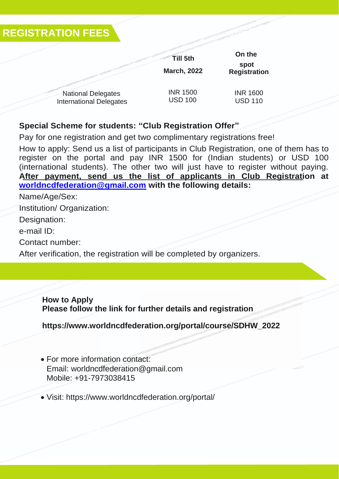

#### **Special Scheme for students: "Club Registration Offer"**

Pay for one registration and get two complimentary registrations free!

How to apply: Send us a list of participants in Club Registration, one of them has to register on the portal and pay INR 1500 for (Indian students) or USD 100 (international students). The other two will just have to register without paying. **After payment, send us the list of applicants in Club Registration at [worldncdfederation@gmail.com](mailto:worldncdfederation@gmail.com) with the following details:**

Name/Age/Sex: Institution/ Organization: Designation: e-mail ID: Contact number: After verification, the registration will be completed by organizers.

**How to Apply Please follow the link for further details and registration** 

**[https://www.worldncdfederation.org/portal/course/SDHW\\_2022](http://www.worldncdfederation.org/portal/course/SDHW_2022)**

- For more information contact: Email: [worldncdfederation@gmail.com](mailto:worldncdfederation@gmail.com) Mobile: +91-7973038415
- Visit: [https://www.worldncdfederation.org/portal/](http://www.worldncdfederation.org/portal/)